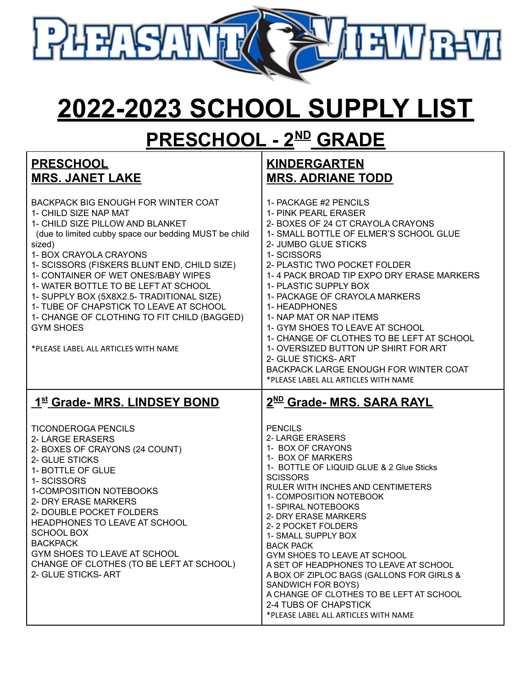

## **2022-2023 SCHOOL SUPPLY LIST**

### **PRESCHOOL - 2 ND GRADE**

| <b>PRESCHOOL</b>                                                                                                                                                                                                                                                                                                                                                                                                                                                                                                                      | <b>KINDERGARTEN</b>                                                                                                                                                                                                                                                                                                                                                                                                                                                                                                                                                                          |
|---------------------------------------------------------------------------------------------------------------------------------------------------------------------------------------------------------------------------------------------------------------------------------------------------------------------------------------------------------------------------------------------------------------------------------------------------------------------------------------------------------------------------------------|----------------------------------------------------------------------------------------------------------------------------------------------------------------------------------------------------------------------------------------------------------------------------------------------------------------------------------------------------------------------------------------------------------------------------------------------------------------------------------------------------------------------------------------------------------------------------------------------|
| <b>MRS. JANET LAKE</b>                                                                                                                                                                                                                                                                                                                                                                                                                                                                                                                | <b>MRS. ADRIANE TODD</b>                                                                                                                                                                                                                                                                                                                                                                                                                                                                                                                                                                     |
| <b>BACKPACK BIG ENOUGH FOR WINTER COAT</b><br>1- CHILD SIZE NAP MAT<br>1- CHILD SIZE PILLOW AND BLANKET<br>(due to limited cubby space our bedding MUST be child<br>sized)<br>1- BOX CRAYOLA CRAYONS<br>1- SCISSORS (FISKERS BLUNT END, CHILD SIZE)<br>1- CONTAINER OF WET ONES/BABY WIPES<br>1- WATER BOTTLE TO BE LEFT AT SCHOOL<br>1- SUPPLY BOX (5X8X2.5- TRADITIONAL SIZE)<br>1- TUBE OF CHAPSTICK TO LEAVE AT SCHOOL<br>1- CHANGE OF CLOTHING TO FIT CHILD (BAGGED)<br><b>GYM SHOES</b><br>*PLEASE LABEL ALL ARTICLES WITH NAME | 1- PACKAGE #2 PENCILS<br>1- PINK PEARL ERASER<br>2- BOXES OF 24 CT CRAYOLA CRAYONS<br>1- SMALL BOTTLE OF ELMER'S SCHOOL GLUE<br>2- JUMBO GLUE STICKS<br>1- SCISSORS<br>2- PLASTIC TWO POCKET FOLDER<br>1-4 PACK BROAD TIP EXPO DRY ERASE MARKERS<br>1- PLASTIC SUPPLY BOX<br>1- PACKAGE OF CRAYOLA MARKERS<br>1- HEADPHONES<br>1- NAP MAT OR NAP ITEMS<br>1- GYM SHOES TO LEAVE AT SCHOOL<br>1- CHANGE OF CLOTHES TO BE LEFT AT SCHOOL<br>1- OVERSIZED BUTTON UP SHIRT FOR ART<br>2- GLUE STICKS-ART<br><b>BACKPACK LARGE ENOUGH FOR WINTER COAT</b><br>*PLEASE LABEL ALL ARTICLES WITH NAME |
| 1st Grade- MRS. LINDSEY BOND                                                                                                                                                                                                                                                                                                                                                                                                                                                                                                          | 2 <sup>ND</sup> Grade- MRS. SARA RAYL                                                                                                                                                                                                                                                                                                                                                                                                                                                                                                                                                        |
| <b>TICONDEROGA PENCILS</b><br>2- LARGE ERASERS<br>2- BOXES OF CRAYONS (24 COUNT)<br>2- GLUE STICKS<br>1- BOTTLE OF GLUE<br>1- SCISSORS<br>1-COMPOSITION NOTEBOOKS<br>2- DRY ERASE MARKERS<br>2- DOUBLE POCKET FOLDERS<br>HEADPHONES TO LEAVE AT SCHOOL<br><b>SCHOOL BOX</b><br><b>BACKPACK</b><br>GYM SHOES TO LEAVE AT SCHOOL<br>CHANGE OF CLOTHES (TO BE LEFT AT SCHOOL)<br>2- GLUE STICKS-ART                                                                                                                                      | <b>PENCILS</b><br>2- LARGE ERASERS<br>1- BOX OF CRAYONS<br>1- BOX OF MARKERS<br>1- BOTTLE OF LIQUID GLUE & 2 Glue Sticks<br><b>SCISSORS</b><br>RULER WITH INCHES AND CENTIMETERS<br>1- COMPOSITION NOTEBOOK<br>1- SPIRAL NOTEBOOKS<br>2- DRY ERASE MARKERS<br>2-2 POCKET FOLDERS<br>1- SMALL SUPPLY BOX<br><b>BACK PACK</b><br>GYM SHOES TO LEAVE AT SCHOOL<br>A SET OF HEADPHONES TO LEAVE AT SCHOOL<br>A BOX OF ZIPLOC BAGS (GALLONS FOR GIRLS &<br>SANDWICH FOR BOYS)<br>A CHANGE OF CLOTHES TO BE LEFT AT SCHOOL<br>2-4 TUBS OF CHAPSTICK<br>*PLEASE LABEL ALL ARTICLES WITH NAME        |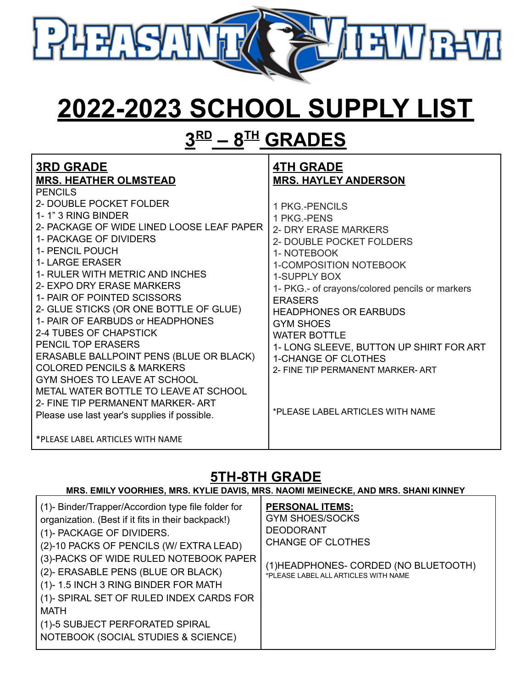

## **2022-2023 SCHOOL SUPPLY LIST**

## **3 RD – 8 TH GRADES**

| <b>3RD GRADE</b><br><b>MRS. HEATHER OLMSTEAD</b>                                                                                                                                                                                                                                                                                                                                                                                                                                                                                                                                                                                                                        | <b>4TH GRADE</b><br><b>MRS. HAYLEY ANDERSON</b>                                                                                                                                                                                                                                                                                                                                                                                            |
|-------------------------------------------------------------------------------------------------------------------------------------------------------------------------------------------------------------------------------------------------------------------------------------------------------------------------------------------------------------------------------------------------------------------------------------------------------------------------------------------------------------------------------------------------------------------------------------------------------------------------------------------------------------------------|--------------------------------------------------------------------------------------------------------------------------------------------------------------------------------------------------------------------------------------------------------------------------------------------------------------------------------------------------------------------------------------------------------------------------------------------|
| <b>PENCILS</b><br>2- DOUBLE POCKET FOLDER<br>1-1" 3 RING BINDER<br>2- PACKAGE OF WIDE LINED LOOSE LEAF PAPER<br>1- PACKAGE OF DIVIDERS<br>1- PENCIL POUCH<br><b>1- LARGE ERASER</b><br>1- RULER WITH METRIC AND INCHES<br>2- EXPO DRY ERASE MARKERS<br>1- PAIR OF POINTED SCISSORS<br>2- GLUE STICKS (OR ONE BOTTLE OF GLUE)<br>1- PAIR OF EARBUDS or HEADPHONES<br>2-4 TUBES OF CHAPSTICK<br><b>PENCIL TOP ERASERS</b><br>ERASABLE BALLPOINT PENS (BLUE OR BLACK)<br><b>COLORED PENCILS &amp; MARKERS</b><br>GYM SHOES TO LEAVE AT SCHOOL<br>METAL WATER BOTTLE TO LEAVE AT SCHOOL<br>2- FINE TIP PERMANENT MARKER-ART<br>Please use last year's supplies if possible. | 1 PKG.-PENCILS<br>1 PKG.-PENS<br>2- DRY ERASE MARKERS<br>2- DOUBLE POCKET FOLDERS<br>1- NOTEBOOK<br>1-COMPOSITION NOTEBOOK<br>1-SUPPLY BOX<br>1- PKG.- of crayons/colored pencils or markers<br><b>ERASERS</b><br><b>HEADPHONES OR EARBUDS</b><br><b>GYM SHOES</b><br><b>WATER BOTTLE</b><br>1- LONG SLEEVE, BUTTON UP SHIRT FOR ART<br><b>1-CHANGE OF CLOTHES</b><br>2- FINE TIP PERMANENT MARKER-ART<br>*PLEASE LABEL ARTICLES WITH NAME |
| *PLEASE LABEL ARTICLES WITH NAME                                                                                                                                                                                                                                                                                                                                                                                                                                                                                                                                                                                                                                        |                                                                                                                                                                                                                                                                                                                                                                                                                                            |

#### **5TH-8TH GRADE**

#### **MRS. EMILY VOORHIES, MRS. KYLIE DAVIS, MRS. NAOMI MEINECKE, AND MRS. SHANI KINNEY**

| (1)- Binder/Trapper/Accordion type file folder for<br>organization. (Best if it fits in their backpack!)<br>(1)- PACKAGE OF DIVIDERS.<br>(2)-10 PACKS OF PENCILS (W/ EXTRA LEAD)<br>(3)-PACKS OF WIDE RULED NOTEBOOK PAPER<br>(2)- ERASABLE PENS (BLUE OR BLACK)<br>(1)-1.5 INCH 3 RING BINDER FOR MATH<br>(1)- SPIRAL SET OF RULED INDEX CARDS FOR<br>MATH<br>(1)-5 SUBJECT PERFORATED SPIRAL | <b>PERSONAL ITEMS:</b><br><b>GYM SHOES/SOCKS</b><br><b>DEODORANT</b><br><b>CHANGE OF CLOTHES</b><br>(1) HEADPHONES- CORDED (NO BLUETOOTH)<br>*PLEASE LABEL ALL ARTICLES WITH NAME |
|------------------------------------------------------------------------------------------------------------------------------------------------------------------------------------------------------------------------------------------------------------------------------------------------------------------------------------------------------------------------------------------------|-----------------------------------------------------------------------------------------------------------------------------------------------------------------------------------|
| NOTEBOOK (SOCIAL STUDIES & SCIENCE)                                                                                                                                                                                                                                                                                                                                                            |                                                                                                                                                                                   |